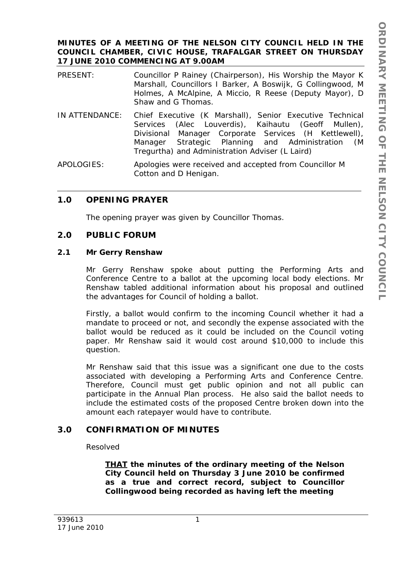### **MINUTES OF A MEETING OF THE NELSON CITY COUNCIL HELD IN THE COUNCIL CHAMBER, CIVIC HOUSE, TRAFALGAR STREET ON THURSDAY 17 JUNE 2010 COMMENCING AT 9.00AM**

- PRESENT: Councillor P Rainey (Chairperson), His Worship the Mayor K Marshall, Councillors I Barker, A Boswijk, G Collingwood, M Holmes, A McAlpine, A Miccio, R Reese (Deputy Mayor), D Shaw and G Thomas.
- IN ATTENDANCE: Chief Executive (K Marshall), Senior Executive Technical Services (Alec Louverdis), Kaihautu (Geoff Mullen), Divisional Manager Corporate Services (H Kettlewell), Manager Strategic Planning and Administration (M Tregurtha) and Administration Adviser (L Laird)

APOLOGIES: Apologies were received and accepted from Councillor M Cotton and D Henigan.

# **1.0 OPENING PRAYER**

The opening prayer was given by Councillor Thomas.

## **2.0 PUBLIC FORUM**

### **2.1 Mr Gerry Renshaw**

Mr Gerry Renshaw spoke about putting the Performing Arts and Conference Centre to a ballot at the upcoming local body elections. Mr Renshaw tabled additional information about his proposal and outlined the advantages for Council of holding a ballot.

Firstly, a ballot would confirm to the incoming Council whether it had a mandate to proceed or not, and secondly the expense associated with the ballot would be reduced as it could be included on the Council voting paper. Mr Renshaw said it would cost around \$10,000 to include this question.

Mr Renshaw said that this issue was a significant one due to the costs associated with developing a Performing Arts and Conference Centre. Therefore, Council must get public opinion and not all public can participate in the Annual Plan process. He also said the ballot needs to include the estimated costs of the proposed Centre broken down into the amount each ratepayer would have to contribute.

# **3.0 CONFIRMATION OF MINUTES**

## Resolved

*THAT the minutes of the ordinary meeting of the Nelson City Council held on Thursday 3 June 2010 be confirmed as a true and correct record, subject to Councillor Collingwood being recorded as having left the meeting*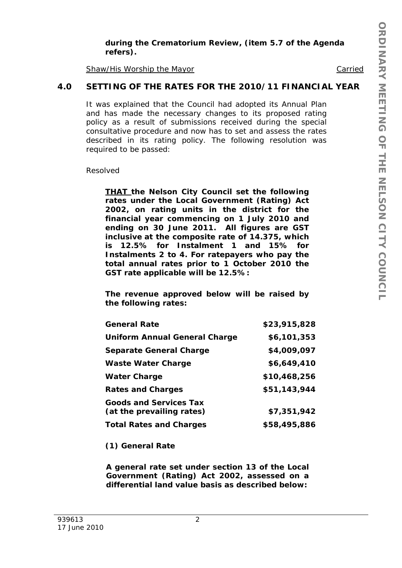#### *during the Crematorium Review, (item 5.7 of the Agenda refers).*

Shaw/His Worship the Mayor Carried

# **4.0 SETTING OF THE RATES FOR THE 2010/11 FINANCIAL YEAR**

It was explained that the Council had adopted its Annual Plan and has made the necessary changes to its proposed rating policy as a result of submissions received during the special consultative procedure and now has to set and assess the rates described in its rating policy. The following resolution was required to be passed:

Resolved

*THAT the Nelson City Council set the following rates under the Local Government (Rating) Act 2002, on rating units in the district for the financial year commencing on 1 July 2010 and ending on 30 June 2011. All figures are GST inclusive at the composite rate of 14.375, which is 12.5% for Instalment 1 and 15% for Instalments 2 to 4. For ratepayers who pay the total annual rates prior to 1 October 2010 the GST rate applicable will be 12.5%:* 

*The revenue approved below will be raised by the following rates:* 

| <b>General Rate</b>                                        | \$23,915,828 |
|------------------------------------------------------------|--------------|
| <b>Uniform Annual General Charge</b>                       | \$6,101,353  |
| <b>Separate General Charge</b>                             | \$4,009,097  |
| <b>Waste Water Charge</b>                                  | \$6,649,410  |
| <b>Water Charge</b>                                        | \$10,468,256 |
| <b>Rates and Charges</b>                                   | \$51,143,944 |
| <b>Goods and Services Tax</b><br>(at the prevailing rates) | \$7,351,942  |
| <b>Total Rates and Charges</b>                             | \$58,495,886 |

 *(1) General Rate* 

*A general rate set under section 13 of the Local Government (Rating) Act 2002, assessed on a differential land value basis as described below:*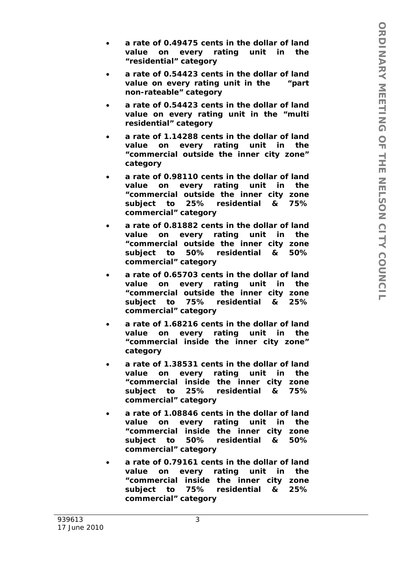- *a rate of 0.49475 cents in the dollar of land value on every rating unit in the "residential" category*
- *a rate of 0.54423 cents in the dollar of land value on every rating unit in the "part non-rateable" category*
- *a rate of 0.54423 cents in the dollar of land value on every rating unit in the "multi residential" category*
- *a rate of 1.14288 cents in the dollar of land value on every rating unit in the "commercial outside the inner city zone" category*
- *a rate of 0.98110 cents in the dollar of land value on every rating unit in the "commercial outside the inner city zone subject to 25% residential & 75% commercial" category*
- *a rate of 0.81882 cents in the dollar of land value on every rating unit in the "commercial outside the inner city zone subject to 50% residential & 50% commercial" category*
- *a rate of 0.65703 cents in the dollar of land value on every rating unit in the "commercial outside the inner city zone subject to 75% residential & 25% commercial" category*
- *a rate of 1.68216 cents in the dollar of land value on every rating unit in the "commercial inside the inner city zone" category*
- *a rate of 1.38531 cents in the dollar of land value on every rating unit in the "commercial inside the inner city zone subject to 25% residential & 75% commercial" category*
- *a rate of 1.08846 cents in the dollar of land value on every rating unit in the "commercial inside the inner city zone subject to 50% residential & 50% commercial" category*
- *a rate of 0.79161 cents in the dollar of land value on every rating unit in the "commercial inside the inner city zone subject to 75% residential & 25% commercial" category*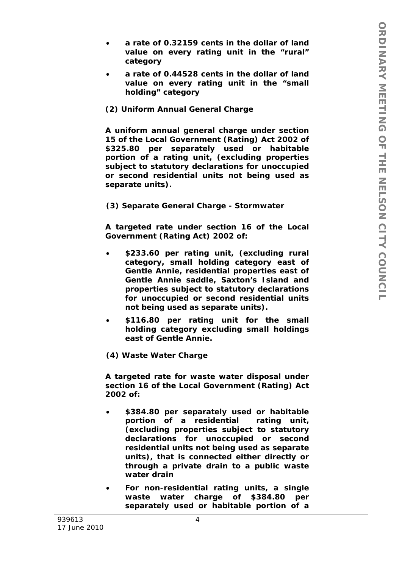- *a rate of 0.32159 cents in the dollar of land value on every rating unit in the "rural" category*
- *a rate of 0.44528 cents in the dollar of land value on every rating unit in the "small holding" category*

### *(2) Uniform Annual General Charge*

*A uniform annual general charge under section 15 of the Local Government (Rating) Act 2002 of \$325.80 per separately used or habitable portion of a rating unit, (excluding properties subject to statutory declarations for unoccupied or second residential units not being used as separate units).* 

*(3) Separate General Charge - Stormwater* 

*A targeted rate under section 16 of the Local Government (Rating Act) 2002 of:* 

- *\$233.60 per rating unit, (excluding rural category, small holding category east of Gentle Annie, residential properties east of Gentle Annie saddle, Saxton's Island and properties subject to statutory declarations for unoccupied or second residential units not being used as separate units).*
- *\$116.80 per rating unit for the small holding category excluding small holdings east of Gentle Annie.*

*(4) Waste Water Charge* 

*A targeted rate for waste water disposal under section 16 of the Local Government (Rating) Act 2002 of:* 

- *\$384.80 per separately used or habitable portion of a residential rating unit, (excluding properties subject to statutory declarations for unoccupied or second residential units not being used as separate units), that is connected either directly or through a private drain to a public waste water drain*
- *For non-residential rating units, a single waste water charge of \$384.80 per separately used or habitable portion of a*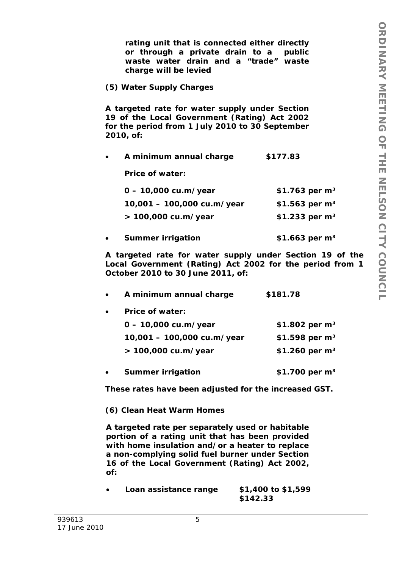*rating unit that is connected either directly or through a private drain to a public waste water drain and a "trade" waste charge will be levied* 

*(5) Water Supply Charges* 

*A targeted rate for water supply under Section 19 of the Local Government (Rating) Act 2002 for the period from 1 July 2010 to 30 September 2010, of:* 

*A minimum annual charge \$177.83* 

*Price of water:* 

| $0 - 10,000 \text{ cu.m/year}$ | \$1.763 per $m^3$ |
|--------------------------------|-------------------|
| 10,001 - 100,000 cu.m/year     | \$1.563 per $m^3$ |
| $> 100,000$ cu.m/year          | \$1.233 per $m^3$ |

*Summer irrigation \$1.663 per m³* 

*A targeted rate for water supply under Section 19 of the Local Government (Rating) Act 2002 for the period from 1 October 2010 to 30 June 2011, of:* 

| $\bullet$ | A minimum annual charge        | \$181.78          |
|-----------|--------------------------------|-------------------|
| $\bullet$ | <b>Price of water:</b>         |                   |
|           | $0 - 10,000 \text{ cu.m/year}$ | \$1.802 per $m^3$ |
|           | 10,001 - 100,000 cu.m/year     | \$1.598 per $m^3$ |
|           |                                |                   |

*Summer irrigation \$1.700 per m³* 

*> 100,000 cu.m/year \$1.260 per m³* 

*These rates have been adjusted for the increased GST.* 

 *(6) Clean Heat Warm Homes* 

*A targeted rate per separately used or habitable portion of a rating unit that has been provided with home insulation and/or a heater to replace a non-complying solid fuel burner under Section 16 of the Local Government (Rating) Act 2002, of:* 

 *Loan assistance range \$1,400 to \$1,599 \$142.33*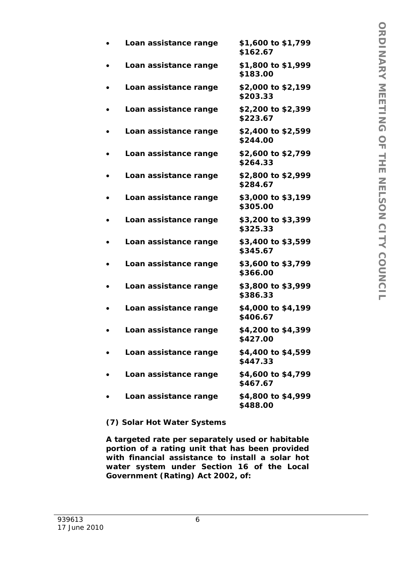| Loan assistance range | \$1,600 to \$1,799<br>\$162.67 |
|-----------------------|--------------------------------|
| Loan assistance range | \$1,800 to \$1,999<br>\$183.00 |
| Loan assistance range | \$2,000 to \$2,199<br>\$203.33 |
| Loan assistance range | \$2,200 to \$2,399<br>\$223.67 |
| Loan assistance range | \$2,400 to \$2,599<br>\$244.00 |
| Loan assistance range | \$2,600 to \$2,799<br>\$264.33 |
| Loan assistance range | \$2,800 to \$2,999<br>\$284.67 |
| Loan assistance range | \$3,000 to \$3,199<br>\$305.00 |
| Loan assistance range | \$3,200 to \$3,399<br>\$325.33 |
| Loan assistance range | \$3,400 to \$3,599<br>\$345.67 |
| Loan assistance range | \$3,600 to \$3,799<br>\$366.00 |
| Loan assistance range | \$3,800 to \$3,999<br>\$386.33 |
| Loan assistance range | \$4,000 to \$4,199<br>\$406.67 |
| Loan assistance range | \$4,200 to \$4,399<br>\$427.00 |
| Loan assistance range | \$4,400 to \$4,599<br>\$447.33 |
| Loan assistance range | \$4,600 to \$4,799<br>\$467.67 |
| Loan assistance range | \$4,800 to \$4,999<br>\$488.00 |

# *(7) Solar Hot Water Systems*

*A targeted rate per separately used or habitable portion of a rating unit that has been provided with financial assistance to install a solar hot water system under Section 16 of the Local Government (Rating) Act 2002, of:*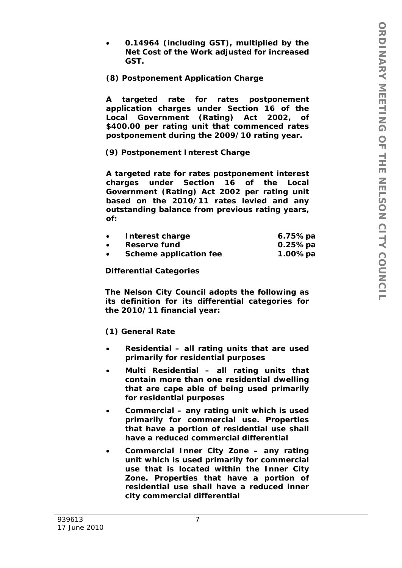*0.14964 (including GST), multiplied by the Net Cost of the Work adjusted for increased GST.* 

## *(8) Postponement Application Charge*

*A targeted rate for rates postponement application charges under Section 16 of the Local Government (Rating) Act 2002, of \$400.00 per rating unit that commenced rates postponement during the 2009/10 rating year.* 

# *(9) Postponement Interest Charge*

*A targeted rate for rates postponement interest charges under Section 16 of the Local Government (Rating) Act 2002 per rating unit based on the 2010/11 rates levied and any outstanding balance from previous rating years, of:* 

| Interest charge               | 6.75%pa |
|-------------------------------|---------|
| Reserve fund                  | 0.25%pa |
| <b>Scheme application fee</b> | 1.00%pa |

### *Differential Categories*

*The Nelson City Council adopts the following as its definition for its differential categories for the 2010/11 financial year:* 

## *(1) General Rate*

- *Residential all rating units that are used primarily for residential purposes*
- *Multi Residential all rating units that contain more than one residential dwelling that are cape able of being used primarily for residential purposes*
- *Commercial any rating unit which is used primarily for commercial use. Properties that have a portion of residential use shall have a reduced commercial differential*
- *Commercial Inner City Zone any rating unit which is used primarily for commercial use that is located within the Inner City Zone. Properties that have a portion of residential use shall have a reduced inner city commercial differential*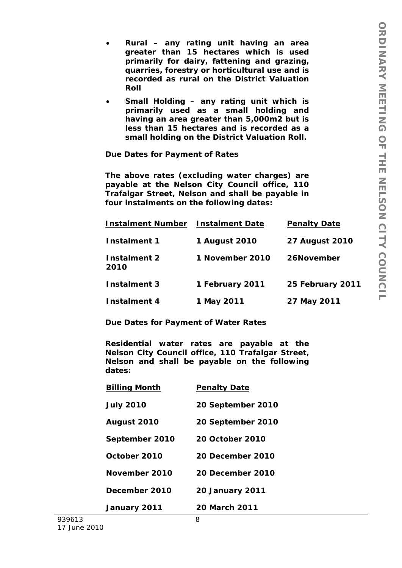- *Rural any rating unit having an area greater than 15 hectares which is used primarily for dairy, fattening and grazing, quarries, forestry or horticultural use and is recorded as rural on the District Valuation Roll*
- *Small Holding any rating unit which is primarily used as a small holding and having an area greater than 5,000m2 but is less than 15 hectares and is recorded as a small holding on the District Valuation Roll.*

*Due Dates for Payment of Rates* 

*The above rates (excluding water charges) are payable at the Nelson City Council office, 110 Trafalgar Street, Nelson and shall be payable in four instalments on the following dates:* 

| <b>Instalment Number</b> | <b>Instalment Date</b> | <b>Penalty Date</b>   |
|--------------------------|------------------------|-----------------------|
| <i>Instalment 1</i>      | 1 August 2010          | <b>27 August 2010</b> |
| Instalment 2<br>2010     | 1 November 2010        | 26November            |
| Instalment 3             | 1 February 2011        | 25 February 2011      |
| Instalment 4             | 1 May 2011             | 27 May 2011           |

*Due Dates for Payment of Water Rates* 

*Residential water rates are payable at the Nelson City Council office, 110 Trafalgar Street, Nelson and shall be payable on the following dates:* 

| <u>Billing Month</u> | <b>Penalty Date</b>     |
|----------------------|-------------------------|
| <b>July 2010</b>     | 20 September 2010       |
| <b>August 2010</b>   | 20 September 2010       |
| September 2010       | <b>20 October 2010</b>  |
| October 2010         | <b>20 December 2010</b> |
| November 2010        | <b>20 December 2010</b> |
| December 2010        | <b>20 January 2011</b>  |
| January 2011         | <b>20 March 2011</b>    |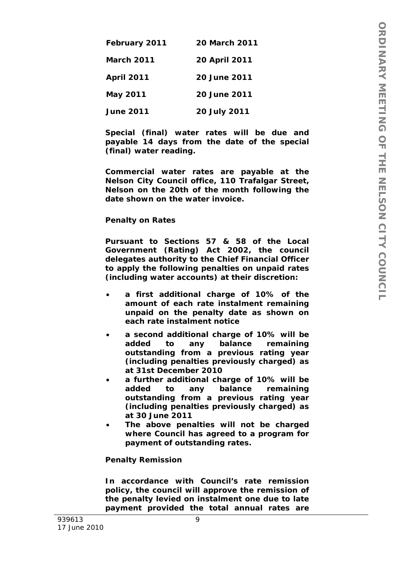| February 2011     | <i><b>20 March 2011</b></i> |
|-------------------|-----------------------------|
| <i>March 2011</i> | <b>20 April 2011</b>        |
| <b>April 2011</b> | 20 June 2011                |
| May 2011          | <b>20 June 2011</b>         |
| <b>June 2011</b>  | 20 July 2011                |

*Special (final) water rates will be due and payable 14 days from the date of the special (final) water reading.* 

*Commercial water rates are payable at the Nelson City Council office, 110 Trafalgar Street, Nelson on the 20th of the month following the date shown on the water invoice.* 

#### *Penalty on Rates*

*Pursuant to Sections 57 & 58 of the Local Government (Rating) Act 2002, the council delegates authority to the Chief Financial Officer to apply the following penalties on unpaid rates (including water accounts) at their discretion:* 

- *a first additional charge of 10% of the amount of each rate instalment remaining unpaid on the penalty date as shown on each rate instalment notice*
- *a second additional charge of 10% will be added to any balance remaining outstanding from a previous rating year (including penalties previously charged) as at 31st December 2010*
- *a further additional charge of 10% will be added to any balance remaining outstanding from a previous rating year (including penalties previously charged) as at 30 June 2011*
- *The above penalties will not be charged where Council has agreed to a program for payment of outstanding rates.*

#### *Penalty Remission*

*In accordance with Council's rate remission policy, the council will approve the remission of the penalty levied on instalment one due to late payment provided the total annual rates are*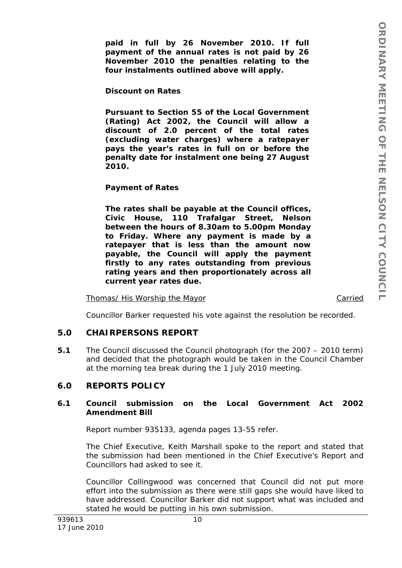*paid in full by 26 November 2010. If full payment of the annual rates is not paid by 26 November 2010 the penalties relating to the four instalments outlined above will apply.* 

### *Discount on Rates*

*Pursuant to Section 55 of the Local Government (Rating) Act 2002, the Council will allow a discount of 2.0 percent of the total rates (excluding water charges) where a ratepayer pays the year's rates in full on or before the penalty date for instalment one being 27 August 2010.* 

#### *Payment of Rates*

*The rates shall be payable at the Council offices, Civic House, 110 Trafalgar Street, Nelson between the hours of 8.30am to 5.00pm Monday to Friday. Where any payment is made by a ratepayer that is less than the amount now payable, the Council will apply the payment firstly to any rates outstanding from previous rating years and then proportionately across all current year rates due.* 

Thomas/ His Worship the Mayor Carried

Councillor Barker requested his vote against the resolution be recorded.

## **5.0 CHAIRPERSONS REPORT**

**5.1** The Council discussed the Council photograph (for the 2007 – 2010 term) and decided that the photograph would be taken in the Council Chamber at the morning tea break during the 1 July 2010 meeting.

## **6.0 REPORTS POLICY**

#### **6.1 Council submission on the Local Government Act 2002 Amendment Bill**

Report number 935133, agenda pages 13-55 refer.

The Chief Executive, Keith Marshall spoke to the report and stated that the submission had been mentioned in the Chief Executive's Report and Councillors had asked to see it.

Councillor Collingwood was concerned that Council did not put more effort into the submission as there were still gaps she would have liked to have addressed. Councillor Barker did not support what was included and stated he would be putting in his own submission.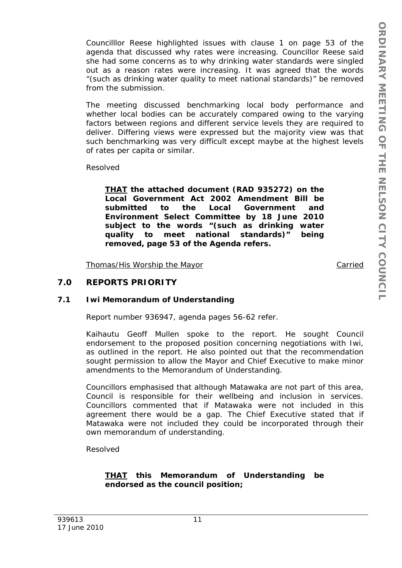Councilllor Reese highlighted issues with clause 1 on page 53 of the agenda that discussed why rates were increasing. Councillor Reese said she had some concerns as to why drinking water standards were singled out as a reason rates were increasing. It was agreed that the words "(such as drinking water quality to meet national standards)" be removed from the submission.

The meeting discussed benchmarking local body performance and whether local bodies can be accurately compared owing to the varying factors between regions and different service levels they are required to deliver. Differing views were expressed but the majority view was that such benchmarking was very difficult except maybe at the highest levels of rates per capita or similar.

Resolved

*THAT the attached document (RAD 935272) on the Local Government Act 2002 Amendment Bill be submitted to the Local Government and Environment Select Committee by 18 June 2010 subject to the words "(such as drinking water quality to meet national standards)" being removed, page 53 of the Agenda refers.* 

Thomas/His Worship the Mayor Carried

# **7.0 REPORTS PRIORITY**

#### **7.1 Iwi Memorandum of Understanding**

Report number 936947, agenda pages 56-62 refer.

Kaihautu Geoff Mullen spoke to the report. He sought Council endorsement to the proposed position concerning negotiations with Iwi, as outlined in the report. He also pointed out that the recommendation sought permission to allow the Mayor and Chief Executive to make minor amendments to the Memorandum of Understanding.

Councillors emphasised that although Matawaka are not part of this area, Council is responsible for their wellbeing and inclusion in services. Councillors commented that if Matawaka were not included in this agreement there would be a gap. The Chief Executive stated that if Matawaka were not included they could be incorporated through their own memorandum of understanding.

Resolved

### *THAT this Memorandum of Understanding be endorsed as the council position;*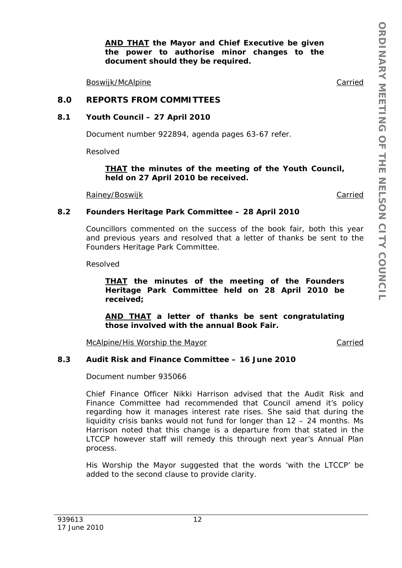*AND THAT the Mayor and Chief Executive be given the power to authorise minor changes to the document should they be required.* 

Boswijk/McAlpine Carried

## **8.0 REPORTS FROM COMMITTEES**

#### **8.1 Youth Council – 27 April 2010**

Document number 922894, agenda pages 63-67 refer.

Resolved

#### *THAT the minutes of the meeting of the Youth Council, held on 27 April 2010 be received.*

Rainey/Boswijk Carried

### **8.2 Founders Heritage Park Committee – 28 April 2010**

Councillors commented on the success of the book fair, both this year and previous years and resolved that a letter of thanks be sent to the Founders Heritage Park Committee.

Resolved

*THAT the minutes of the meeting of the Founders Heritage Park Committee held on 28 April 2010 be received;* 

*AND THAT a letter of thanks be sent congratulating those involved with the annual Book Fair.* 

McAlpine/His Worship the Mayor Carried

## **8.3 Audit Risk and Finance Committee – 16 June 2010**

Document number 935066

Chief Finance Officer Nikki Harrison advised that the Audit Risk and Finance Committee had recommended that Council amend it's policy regarding how it manages interest rate rises. She said that during the liquidity crisis banks would not fund for longer than 12 – 24 months. Ms Harrison noted that this change is a departure from that stated in the LTCCP however staff will remedy this through next year's Annual Plan process.

His Worship the Mayor suggested that the words 'with the LTCCP' be added to the second clause to provide clarity.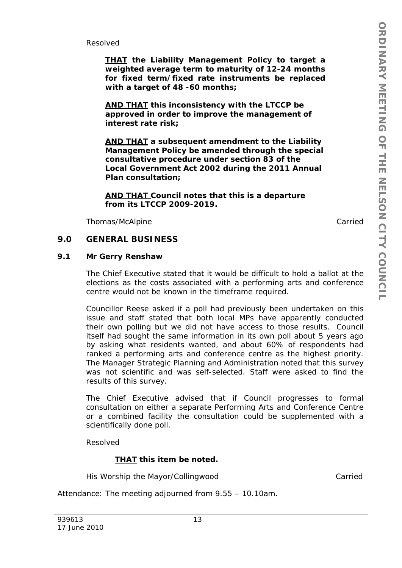Resolved

*THAT the Liability Management Policy to target a weighted average term to maturity of 12-24 months for fixed term/fixed rate instruments be replaced with a target of 48 -60 months;* 

*AND THAT this inconsistency with the LTCCP be approved in order to improve the management of interest rate risk;* 

*AND THAT a subsequent amendment to the Liability Management Policy be amended through the special consultative procedure under section 83 of the Local Government Act 2002 during the 2011 Annual Plan consultation;* 

*AND THAT Council notes that this is a departure from its LTCCP 2009-2019.*

Thomas/McAlpine Carried

### **9.0 GENERAL BUSINESS**

## **9.1 Mr Gerry Renshaw**

The Chief Executive stated that it would be difficult to hold a ballot at the elections as the costs associated with a performing arts and conference centre would not be known in the timeframe required.

Councillor Reese asked if a poll had previously been undertaken on this issue and staff stated that both local MPs have apparently conducted their own polling but we did not have access to those results. Council itself had sought the same information in its own poll about 5 years ago by asking what residents wanted, and about 60% of respondents had ranked a performing arts and conference centre as the highest priority. The Manager Strategic Planning and Administration noted that this survey was not scientific and was self-selected. Staff were asked to find the results of this survey.

The Chief Executive advised that if Council progresses to formal consultation on either a separate Performing Arts and Conference Centre or a combined facility the consultation could be supplemented with a scientifically done poll.

Resolved

*THAT this item be noted.* 

His Worship the Mayor/Collingwood Carried

Attendance: The meeting adjourned from 9.55 – 10.10am.